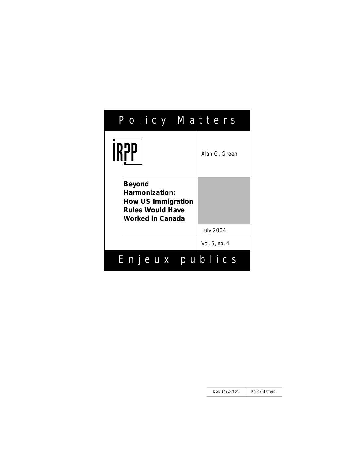| Policy Matte <u>rs</u>                                                                               |                  |
|------------------------------------------------------------------------------------------------------|------------------|
| IR7P                                                                                                 | Alan G. Green    |
| Beyond<br>Harmonization:<br><b>How US Immigration</b><br><b>Rules Would Have</b><br>Worked in Canada |                  |
|                                                                                                      | <b>July 2004</b> |
|                                                                                                      | Vol. 5, no. 4    |
| Enjeux publics                                                                                       |                  |

ISSN 1492-7004 Policy Matters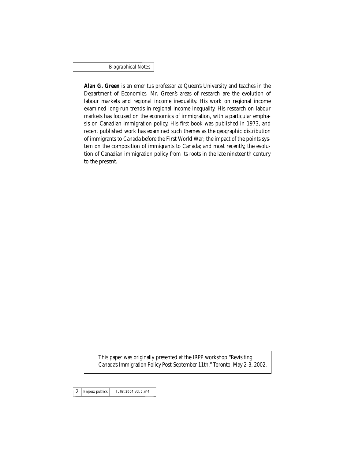Biographical Notes

**Alan G. Green** is an emeritus professor at Queen's University and teaches in the Department of Economics. Mr. Green's areas of research are the evolution of labour markets and regional income inequality. His work on regional income examined long-run trends in regional income inequality. His research on labour markets has focused on the economics of immigration, with a particular emphasis on Canadian immigration policy. His first book was published in 1973, and recent published work has examined such themes as the geographic distribution of immigrants to Canada before the First World War; the impact of the points system on the composition of immigrants to Canada; and most recently, the evolution of Canadian immigration policy from its roots in the late nineteenth century to the present.

This paper was originally presented at the IRPP workshop "Revisiting Canada's Immigration Policy Post-September 11th," Toronto, May 2-3, 2002.

 $2$  Enjeux publics Juillet 2004 Vol. 5, n° 4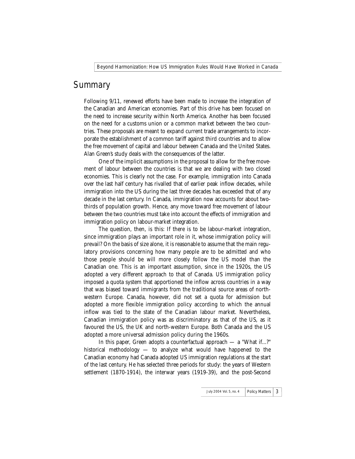### **Summary**

Following 9/11, renewed efforts have been made to increase the integration of the Canadian and American economies. Part of this drive has been focused on the need to increase security within North America. Another has been focused on the need for a customs union or a common market between the two countries. These proposals are meant to expand current trade arrangements to incorporate the establishment of a common tariff against third countries and to allow the free movement of capital and labour between Canada and the United States. Alan Green's study deals with the consequences of the latter.

One of the implicit assumptions in the proposal to allow for the free movement of labour between the countries is that we are dealing with two closed economies. This is clearly not the case. For example, immigration into Canada over the last half century has rivalled that of earlier peak inflow decades, while immigration into the US during the last three decades has exceeded that of any decade in the last century. In Canada, immigration now accounts for about twothirds of population growth. Hence, any move toward free movement of labour between the two countries must take into account the effects of immigration and immigration policy on labour-market integration.

The question, then, is this: If there is to be labour-market integration, since immigration plays an important role in it, whose immigration policy will prevail? On the basis of size alone, it is reasonable to assume that the main regulatory provisions concerning how many people are to be admitted and who those people should be will more closely follow the US model than the Canadian one. This is an important assumption, since in the 1920s, the US adopted a very different approach to that of Canada. US immigration policy imposed a quota system that apportioned the inflow across countries in a way that was biased toward immigrants from the traditional source areas of northwestern Europe. Canada, however, did not set a quota for admission but adopted a more flexible immigration policy according to which the annual inflow was tied to the state of the Canadian labour market. Nevertheless, Canadian immigration policy was as discriminatory as that of the US, as it favoured the US, the UK and north-western Europe. Both Canada and the US adopted a more universal admission policy during the 1960s.

In this paper, Green adopts a counterfactual approach — a "What if...?" historical methodology — to analyze what would have happened to the Canadian economy had Canada adopted US immigration regulations at the start of the last century. He has selected three periods for study: the years of Western settlement (1870-1914), the interwar years (1919-39), and the post-Second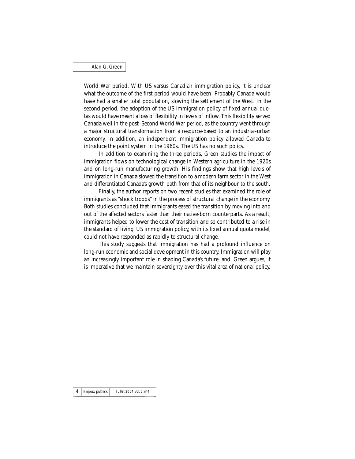World War period. With US versus Canadian immigration policy, it is unclear what the outcome of the first period would have been. Probably Canada would have had a smaller total population, slowing the settlement of the West. In the second period, the adoption of the US immigration policy of fixed annual quotas would have meant a loss of flexibility in levels of inflow. This flexibility served Canada well in the post–Second World War period, as the country went through a major structural transformation from a resource-based to an industrial-urban economy. In addition, an independent immigration policy allowed Canada to introduce the point system in the 1960s. The US has no such policy.

In addition to examining the three periods, Green studies the impact of immigration flows on technological change in Western agriculture in the 1920s and on long-run manufacturing growth. His findings show that high levels of immigration in Canada slowed the transition to a modern farm sector in the West and differentiated Canada's growth path from that of its neighbour to the south.

Finally, the author reports on two recent studies that examined the role of immigrants as "shock troops" in the process of structural change in the economy. Both studies concluded that immigrants eased the transition by moving into and out of the affected sectors faster than their native-born counterparts. As a result, immigrants helped to lower the cost of transition and so contributed to a rise in the standard of living. US immigration policy, with its fixed annual quota model, could not have responded as rapidly to structural change.

This study suggests that immigration has had a profound influence on long-run economic and social development in this country. Immigration will play an increasingly important role in shaping Canada's future, and, Green argues, it is imperative that we maintain sovereignty over this vital area of national policy.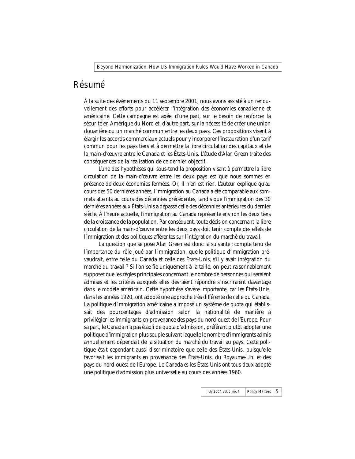#### Résumé

À la suite des événements du 11 septembre 2001, nous avons assisté à un renouvellement des efforts pour accélérer l'intégration des économies canadienne et américaine. Cette campagne est axée, d'une part, sur le besoin de renforcer la sécurité en Amérique du Nord et, d'autre part, sur la nécessité de créer une union douanière ou un marché commun entre les deux pays. Ces propositions visent à élargir les accords commerciaux actuels pour y incorporer l'instauration d'un tarif commun pour les pays tiers et à permettre la libre circulation des capitaux et de la main-d'œuvre entre le Canada et les États-Unis. L'étude d'Alan Green traite des conséquences de la réalisation de ce dernier objectif.

L'une des hypothèses qui sous-tend la proposition visant à permettre la libre circulation de la main-d'œuvre entre les deux pays est que nous sommes en présence de deux économies fermées. Or, il n'en est rien. L'auteur explique qu'au cours des 50 dernières années, l'immigration au Canada a été comparable aux sommets atteints au cours des décennies précédentes, tandis que l'immigration des 30 dernières années aux États-Unis a dépassé celle des décennies antérieures du dernier siècle. À l'heure actuelle, l'immigration au Canada représente environ les deux tiers de la croissance de la population. Par conséquent, toute décision concernant la libre circulation de la main-d'œuvre entre les deux pays doit tenir compte des effets de l'immigration et des politiques afférentes sur l'intégration du marché du travail.

La question que se pose Alan Green est donc la suivante : compte tenu de l'importance du rôle joué par l'immigration, quelle politique d'immigration prévaudrait, entre celle du Canada et celle des États-Unis, s'il y avait intégration du marché du travail ? Si l'on se fie uniquement à la taille, on peut raisonnablement supposer que les règles principales concernant le nombre de personnes qui seraient admises et les critères auxquels elles devraient répondre s'inscriraient davantage dans le modèle américain. Cette hypothèse s'avère importante, car les États-Unis, dans les années 1920, ont adopté une approche très différente de celle du Canada. La politique d'immigration américaine a imposé un système de quota qui établissait des pourcentages d'admission selon la nationalité de manière à privilégier les immigrants en provenance des pays du nord-ouest de l'Europe. Pour sa part, le Canada n'a pas établi de quota d'admission, préférant plutôt adopter une politique d'immigration plus souple suivant laquelle le nombre d'immigrants admis annuellement dépendait de la situation du marché du travail au pays. Cette politique était cependant aussi discriminatoire que celle des États-Unis, puisqu'elle favorisait les immigrants en provenance des États-Unis, du Royaume-Uni et des pays du nord-ouest de l'Europe. Le Canada et les États-Unis ont tous deux adopté une politique d'admission plus universelle au cours des années 1960.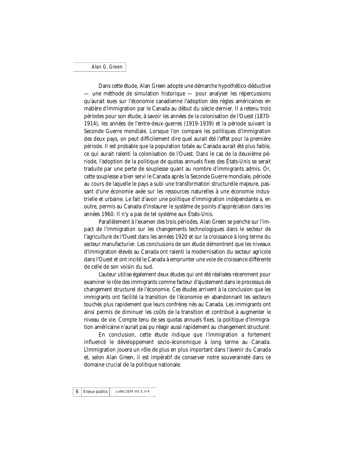Dans cette étude, Alan Green adopte une démarche hypothético-déductive — une méthode de simulation historique — pour analyser les répercussions qu'aurait eues sur l'économie canadienne l'adoption des règles américaines en matière d'immigration par le Canada au début du siècle dernier. Il a retenu trois périodes pour son étude, à savoir les années de la colonisation de l'Ouest (1870- 1914), les années de l'entre-deux-guerres (1919-1939) et la période suivant la Seconde Guerre mondiale. Lorsque l'on compare les politiques d'immigration des deux pays, on peut difficilement dire quel aurait été l'effet pour la première période. Il est probable que la population totale au Canada aurait été plus faible, ce qui aurait ralenti la colonisation de l'Ouest. Dans le cas de la deuxième période, l'adoption de la politique de quotas annuels fixes des États-Unis se serait traduite par une perte de souplesse quant au nombre d'immigrants admis. Or, cette souplesse a bien servi le Canada après la Seconde Guerre mondiale, période au cours de laquelle le pays a subi une transformation structurelle majeure, passant d'une économie axée sur les ressources naturelles à une économie industrielle et urbaine. Le fait d'avoir une politique d'immigration indépendante a, en outre, permis au Canada d'instaurer le système de points d'appréciation dans les années 1960. Il n'y a pas de tel système aux États-Unis.

Parallèlement à l'examen des trois périodes, Alan Green se penche sur l'impact de l'immigration sur les changements technologiques dans le secteur de l'agriculture de l'Ouest dans les années 1920 et sur la croissance à long terme du secteur manufacturier. Les conclusions de son étude démontrent que les niveaux d'immigration élevés au Canada ont ralenti la modernisation du secteur agricole dans l'Ouest et ont incité le Canada à emprunter une voie de croissance différente de celle de son voisin du sud.

L'auteur utilise également deux études qui ont été réalisées récemment pour examiner le rôle des immigrants comme facteur d'ajustement dans le processus de changement structurel de l'économie. Ces études arrivent à la conclusion que les immigrants ont facilité la transition de l'économie en abandonnant les secteurs touchés plus rapidement que leurs confrères nés au Canada. Les immigrants ont ainsi permis de diminuer les coûts de la transition et contribué à augmenter le niveau de vie. Compte tenu de ses quotas annuels fixes, la politique d'immigration américaine n'aurait pas pu réagir aussi rapidement au changement structurel.

En conclusion, cette étude indique que l'immigration a fortement influencé le développement socio-économique à long terme au Canada. L'immigration jouera un rôle de plus en plus important dans l'avenir du Canada et, selon Alan Green, il est impératif de conserver notre souveraineté dans ce domaine crucial de la politique nationale.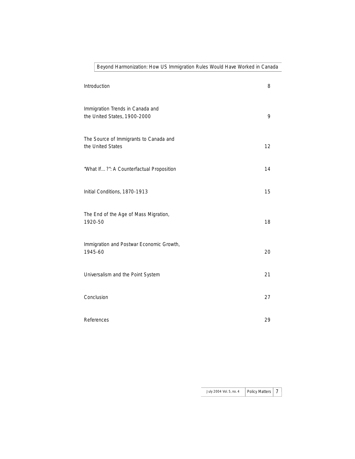| Introduction                                                     | 8  |
|------------------------------------------------------------------|----|
| Immigration Trends in Canada and<br>the United States, 1900-2000 | 9  |
| The Source of Immigrants to Canada and<br>the United States      | 12 |
| "What If?": A Counterfactual Proposition                         | 14 |
| Initial Conditions, 1870-1913                                    | 15 |
| The End of the Age of Mass Migration,<br>1920-50                 | 18 |
| Immigration and Postwar Economic Growth,<br>1945-60              | 20 |
| Universalism and the Point System                                | 21 |
| Conclusion                                                       | 27 |
| References                                                       | 29 |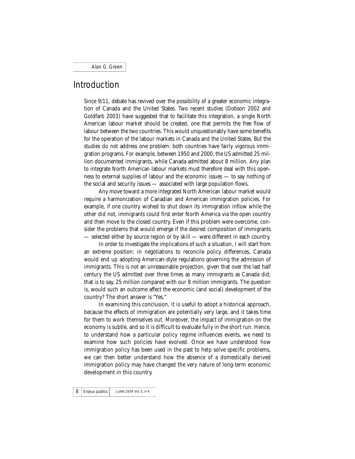## Introduction

Since 9/11, debate has revived over the possibility of a greater economic integration of Canada and the United States. Two recent studies (Dobson 2002 and Goldfarb 2003) have suggested that to facilitate this integration, a single North American labour market should be created, one that permits the free flow of labour between the two countries. This would unquestionably have some benefits for the operation of the labour markets in Canada and the United States. But the studies do not address one problem: both countries have fairly vigorous immigration programs. For example, between 1950 and 2000, the US admitted 25 million documented immigrants, while Canada admitted about 8 million. Any plan to integrate North American labour markets must therefore deal with this openness to external supplies of labour and the economic issues — to say nothing of the social and security issues — associated with large population flows.

Any move toward a more integrated North American labour market would require a harmonization of Canadian and American immigration policies. For example, if one country wished to shut down its immigration inflow while the other did not, immigrants could first enter North America via the open country and then move to the closed country. Even if this problem were overcome, consider the problems that would emerge if the desired composition of immigrants — selected either by source region or by skill — were different in each country.

In order to investigate the implications of such a situation, I will start from an extreme position: in negotiations to reconcile policy differences, Canada would end up adopting American-style regulations governing the admission of immigrants. This is not an unreasonable projection, given that over the last half century the US admitted over three times as many immigrants as Canada did; that is to say, 25 million compared with our 8 million immigrants. The question is, would such an outcome affect the economic (and social) development of the country? The short answer is "Yes."

In examining this conclusion, it is useful to adopt a historical approach, because the effects of immigration are potentially very large, and it takes time for them to work themselves out. Moreover, the impact of immigration on the economy is subtle, and so it is difficult to evaluate fully in the short run. Hence, to understand how a particular policy regime influences events, we need to examine how such policies have evolved. Once we have understood how immigration policy has been used in the past to help solve specific problems, we can then better understand how the absence of a domestically derived immigration policy may have changed the very nature of long-term economic development in this country.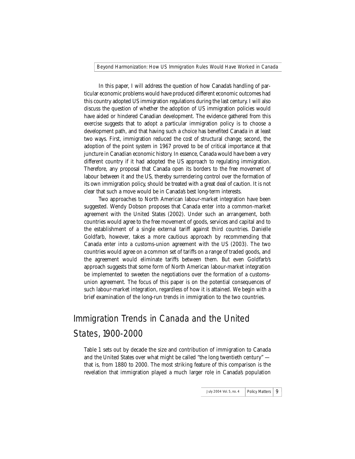In this paper, I will address the question of how Canada's handling of particular economic problems would have produced different economic outcomes had this country adopted US immigration regulations during the last century. I will also discuss the question of whether the adoption of US immigration policies would have aided or hindered Canadian development. The evidence gathered from this exercise suggests that to adopt a particular immigration policy is to choose a development path, and that having such a choice has benefited Canada in at least two ways. First, immigration reduced the cost of structural change; second, the adoption of the point system in 1967 proved to be of critical importance at that juncture in Canadian economic history. In essence, Canada would have been a very different country if it had adopted the US approach to regulating immigration. Therefore, any proposal that Canada open its borders to the free movement of labour between it and the US, thereby surrendering control over the formation of its own immigration policy, should be treated with a great deal of caution. It is not clear that such a move would be in Canada's best long-term interests.

Two approaches to North American labour-market integration have been suggested. Wendy Dobson proposes that Canada enter into a common-market agreement with the United States (2002). Under such an arrangement, both countries would agree to the free movement of goods, services and capital and to the establishment of a single external tariff against third countries. Danielle Goldfarb, however, takes a more cautious approach by recommending that Canada enter into a customs-union agreement with the US (2003). The two countries would agree on a common set of tariffs on a range of traded goods, and the agreement would eliminate tariffs between them. But even Goldfarb's approach suggests that some form of North American labour-market integration be implemented to sweeten the negotiations over the formation of a customsunion agreement. The focus of this paper is on the potential consequences of such labour-market integration, regardless of how it is attained. We begin with a brief examination of the long-run trends in immigration to the two countries.

# Immigration Trends in Canada and the United States, 1900-2000

Table 1 sets out by decade the size and contribution of immigration to Canada and the United States over what might be called "the long twentieth century" that is, from 1880 to 2000. The most striking feature of this comparison is the revelation that immigration played a much larger role in Canada's population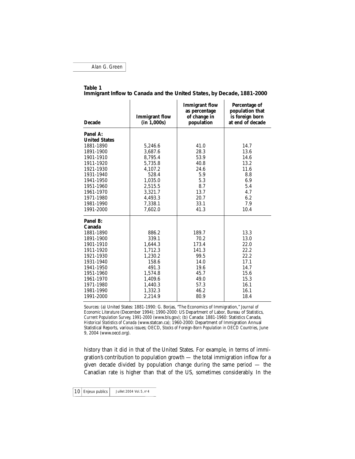#### **Table 1**

| <b>Decade</b>        | <b>Immigrant flow</b><br>(in 1,000s) | <b>Immigrant flow</b><br>as percentage<br>of change in<br>population | Percentage of<br>population that<br>is foreign born<br>at end of decade |
|----------------------|--------------------------------------|----------------------------------------------------------------------|-------------------------------------------------------------------------|
| Panel A:             |                                      |                                                                      |                                                                         |
| <b>United States</b> |                                      |                                                                      |                                                                         |
| 1881-1890            | 5,246.6                              | 41.0                                                                 | 14.7                                                                    |
| 1891-1900            | 3,687.6                              | 28.3                                                                 | 13.6                                                                    |
| 1901-1910            | 8,795.4                              | 53.9                                                                 | 14.6                                                                    |
| 1911-1920            | 5,735.8                              | 40.8                                                                 | 13.2                                                                    |
| 1921-1930            | 4,107.2                              | 24.6                                                                 | 11.6                                                                    |
| 1931-1940            | 528.4                                | 5.9                                                                  | 8.8                                                                     |
| 1941-1950            | 1,035.0                              | 5.3                                                                  | 6.9                                                                     |
| 1951-1960            | 2,515.5                              | 8.7                                                                  | 5.4                                                                     |
| 1961-1970            | 3,321.7                              | 13.7                                                                 | 4.7                                                                     |
| 1971-1980            | 4,493.3                              | 20.7                                                                 | 6.2                                                                     |
| 1981-1990            | 7.338.1                              | 33.1                                                                 | 7.9                                                                     |
| 1991-2000            | 7,602.0                              | 41.3                                                                 | 10.4                                                                    |
| Panel B:             |                                      |                                                                      |                                                                         |
| Canada               |                                      |                                                                      |                                                                         |
| 1881-1890            | 886.2                                | 189.7                                                                | 13.3                                                                    |
| 1891-1900            | 339.1                                | 70.2                                                                 | 13.0                                                                    |
| 1901-1910            | 1,644.3                              | 173.4                                                                | 22.0                                                                    |
| 1911-1920            | 1,712.3                              | 141.3                                                                | 22.2                                                                    |
| 1921-1930            | 1,230.2                              | 99.5                                                                 | 22.2                                                                    |
| 1931-1940            | 158.6                                | 14.0                                                                 | 17.1                                                                    |
| 1941-1950            | 491.3                                | 19.6                                                                 | 14.7                                                                    |
| 1951-1960            | 1,574.8                              | 45.7                                                                 | 15.6                                                                    |
| 1961-1970            | 1,409.6                              | 49.0                                                                 | 15.3                                                                    |
| 1971-1980            | 1,440.3                              | 57.3                                                                 | 16.1                                                                    |
| 1981-1990            | 1,332.3                              | 46.2                                                                 | 16.1                                                                    |
| 1991-2000            | 2,214.9                              | 80.9                                                                 | 18.4                                                                    |

**Immigrant Inflow to Canada and the United States, by Decade, 1881-2000**

Sources: (a) United States: 1881-1990: G. Borjas, "The Economics of Immigration," *Journal of Economic Literature* (December 1994); 1990-2000: US Department of Labor, Bureau of Statistics, *Current Population Survey, 1991-2000* (www.bls.gov); (b) Canada: 1881-1960: Statistics Canada, *Historical Statistics of Canada* (www.statcan.ca); 1960-2000: Department of Immigration Annual Statistical Reports, various issues; OECD, *Stocks of Foreign-Born Population in OECD Countries*, June 9, 2004 (www.oecd.org).

history than it did in that of the United States. For example, in terms of immigration's contribution to population growth — the total immigration inflow for a given decade divided by population change during the same period — the Canadian rate is higher than that of the US, sometimes considerably. In the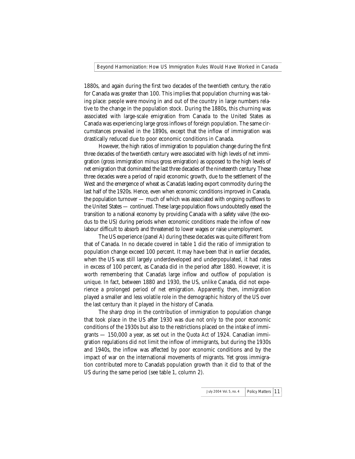1880s, and again during the first two decades of the twentieth century, the ratio for Canada was greater than 100. This implies that population churning was taking place: people were moving in and out of the country in large numbers relative to the change in the population stock. During the 1880s, this churning was associated with large-scale emigration from Canada to the United States as Canada was experiencing large gross inflows of foreign population. The same circumstances prevailed in the 1890s, except that the inflow of immigration was drastically reduced due to poor economic conditions in Canada.

However, the high ratios of immigration to population change during the first three decades of the twentieth century were associated with high levels of net immigration (gross immigration minus gross emigration) as opposed to the high levels of net emigration that dominated the last three decades of the nineteenth century. These three decades were a period of rapid economic growth, due to the settlement of the West and the emergence of wheat as Canada's leading export commodity during the last half of the 1920s. Hence, even when economic conditions improved in Canada, the population turnover — much of which was associated with ongoing outflows to the United States — continued. These large population flows undoubtedly eased the transition to a national economy by providing Canada with a safety valve (the exodus to the US) during periods when economic conditions made the inflow of new labour difficult to absorb and threatened to lower wages or raise unemployment.

The US experience (panel A) during these decades was quite different from that of Canada. In no decade covered in table 1 did the ratio of immigration to population change exceed 100 percent. It may have been that in earlier decades, when the US was still largely underdeveloped and underpopulated, it had rates in excess of 100 percent, as Canada did in the period after 1880. However, it is worth remembering that Canada's large inflow and outflow of population is unique. In fact, between 1880 and 1930, the US, unlike Canada, did not experience a prolonged period of net emigration. Apparently, then, immigration played a smaller and less volatile role in the demographic history of the US over the last century than it played in the history of Canada.

The sharp drop in the contribution of immigration to population change that took place in the US after 1930 was due not only to the poor economic conditions of the 1930s but also to the restrictions placed on the intake of immigrants — 150,000 a year, as set out in the *Quota Act* of 1924. Canadian immigration regulations did not limit the inflow of immigrants, but during the 1930s and 1940s, the inflow was affected by poor economic conditions and by the impact of war on the international movements of migrants. Yet gross immigration contributed more to Canada's population growth than it did to that of the US during the same period (see table 1, column 2).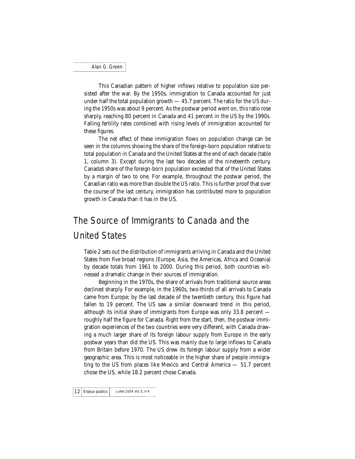This Canadian pattern of higher inflows relative to population size persisted after the war. By the 1950s, immigration to Canada accounted for just under half the total population growth — 45.7 percent. The ratio for the US during the 1950s was about 9 percent. As the postwar period went on, this ratio rose sharply, reaching 80 percent in Canada and 41 percent in the US by the 1990s. Falling fertility rates combined with rising levels of immigration accounted for these figures.

The net effect of these immigration flows on population change can be seen in the columns showing the share of the foreign-born population relative to total population in Canada and the United States at the end of each decade (table 1, column 3). Except during the last two decades of the nineteenth century, Canada's share of the foreign-born population exceeded that of the United States by a margin of two to one. For example, throughout the postwar period, the Canadian ratio was more than double the US ratio. This is further proof that over the course of the last century, immigration has contributed more to population growth in Canada than it has in the US.

# The Source of Immigrants to Canada and the United States

Table 2 sets out the distribution of immigrants arriving in Canada and the United States from five broad regions (Europe, Asia, the Americas, Africa and Oceania) by decade totals from 1961 to 2000. During this period, both countries witnessed a dramatic change in their sources of immigration.

Beginning in the 1970s, the share of arrivals from traditional source areas declined sharply. For example, in the 1960s, two-thirds of all arrivals to Canada came from Europe; by the last decade of the twentieth century, this figure had fallen to 19 percent. The US saw a similar downward trend in this period, although its initial share of immigrants from Europe was only 33.8 percent roughly half the figure for Canada. Right from the start, then, the postwar immigration experiences of the two countries were very different, with Canada drawing a much larger share of its foreign labour supply from Europe in the early postwar years than did the US. This was mainly due to large inflows to Canada from Britain before 1970. The US drew its foreign labour supply from a wider geographic area. This is most noticeable in the higher share of people immigrating to the US from places like Mexico and Central America — 51.7 percent chose the US, while 18.2 percent chose Canada.

Enjeux publics Juillet 2004 Vol. 5,  $n^{\circ}4$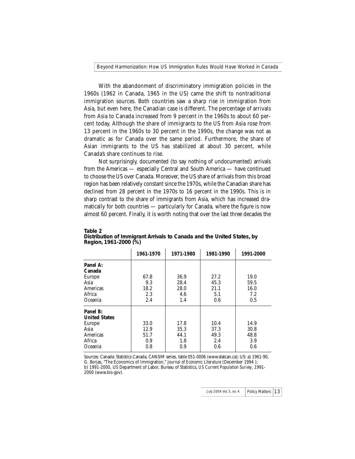With the abandonment of discriminatory immigration policies in the 1960s (1962 in Canada, 1965 in the US) came the shift to nontraditional immigration sources. Both countries saw a sharp rise in immigration from Asia, but even here, the Canadian case is different. The percentage of arrivals from Asia to Canada increased from 9 percent in the 1960s to about 60 percent today. Although the share of immigrants to the US from Asia rose from 13 percent in the 1960s to 30 percent in the 1990s, the change was not as dramatic as for Canada over the same period. Furthermore, the share of Asian immigrants to the US has stabilized at about 30 percent, while Canada's share continues to rise.

Not surprisingly, documented (to say nothing of undocumented) arrivals from the Americas — especially Central and South America — have continued to choose the US over Canada. Moreover, the US share of arrivals from this broad region has been relatively constant since the 1970s, while the Canadian share has declined from 28 percent in the 1970s to 16 percent in the 1990s. This is in sharp contrast to the share of immigrants from Asia, which has increased dramatically for both countries — particularly for Canada, where the figure is now almost 60 percent. Finally, it is worth noting that over the last three decades the

|                      | 1961-1970 | 1971-1980 | 1981-1990 | 1991-2000 |
|----------------------|-----------|-----------|-----------|-----------|
| Panel A:             |           |           |           |           |
| Canada               |           |           |           |           |
| Europe               | 67.8      | 36.9      | 27.2      | 19.0      |
| Asia                 | 9.3       | 28.4      | 45.3      | 59.5      |
| Americas             | 18.2      | 28.0      | 21.1      | 16.0      |
| Africa               | 2.3       | 4.6       | 5.1       | 7.2       |
| Oceania              | 2.4       | 1.4       | 0.6       | 0.5       |
| Panel B:             |           |           |           |           |
| <b>United States</b> |           |           |           |           |
| Europe               | 33.0      | 17.8      | 10.4      | 14.9      |
| Asia                 | 12.9      | 35.3      | 37.3      | 30.8      |
| Americas             | 51.7      | 44.1      | 49.3      | 48.8      |
| Africa               | 0.9       | 1.8       | 2.4       | 3.9       |
| Oceania              | 0.8       | 0.9       | 0.6       | 0.6       |

#### **Table 2 Distribution of Immigrant Arrivals to Canada and the United States, by Region, 1961-2000 (%)**

Sources: Canada: Statistics Canada, CANSIM series, table 051-0006 (www.statcan.ca); US: a) 1961-90, G. Borjas, "The Economics of Immigration," *Journal of Economic Literature* (December 1994 ); b) 1991-2000, US Department of Labor, Bureau of Statistics, *US Current Population Survey*, 1991- 2000 (www.bis-gov).

| July 2004 Vol. 5, no. 4 | Policy Matters   13 |  |  |
|-------------------------|---------------------|--|--|
|-------------------------|---------------------|--|--|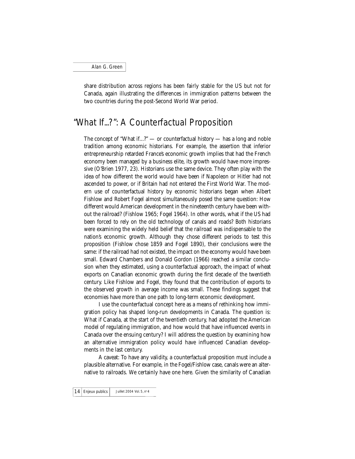share distribution across regions has been fairly stable for the US but not for Canada, again illustrating the differences in immigration patterns between the two countries during the post-Second World War period.

## "What If...?": A Counterfactual Proposition

The concept of "What if...?" — or counterfactual history — has a long and noble tradition among economic historians. For example, the assertion that inferior entrepreneurship retarded France's economic growth implies that had the French economy been managed by a business elite, its growth would have more impressive (O'Brien 1977, 23). Historians use the same device. They often play with the idea of how different the world would have been if Napoleon or Hitler had not ascended to power, or if Britain had not entered the First World War. The modern use of counterfactual history by economic historians began when Albert Fishlow and Robert Fogel almost simultaneously posed the same question: How different would American development in the nineteenth century have been without the railroad? (Fishlow 1965; Fogel 1964). In other words, what if the US had been forced to rely on the old technology of canals and roads? Both historians were examining the widely held belief that the railroad was indispensable to the nation's economic growth. Although they chose different periods to test this proposition (Fishlow chose 1859 and Fogel 1890), their conclusions were the same: if the railroad had not existed, the impact on the economy would have been small. Edward Chambers and Donald Gordon (1966) reached a similar conclusion when they estimated, using a counterfactual approach, the impact of wheat exports on Canadian economic growth during the first decade of the twentieth century. Like Fishlow and Fogel, they found that the contribution of exports to the observed growth in average income was small. These findings suggest that economies have more than one path to long-term economic development.

I use the counterfactual concept here as a means of rethinking how immigration policy has shaped long-run developments in Canada. The question is: What if Canada, at the start of the twentieth century, had adopted the American model of regulating immigration, and how would that have influenced events in Canada over the ensuing century? I will address the question by examining how an alternative immigration policy would have influenced Canadian developments in the last century.

A caveat: To have any validity, a counterfactual proposition must include a plausible alternative. For example, in the Fogel/Fishlow case, canals were an alternative to railroads. We certainly have one here. Given the similarity of Canadian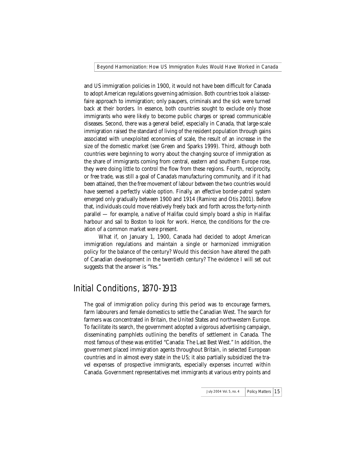and US immigration policies in 1900, it would not have been difficult for Canada to adopt American regulations governing admission. Both countries took a laissezfaire approach to immigration; only paupers, criminals and the sick were turned back at their borders. In essence, both countries sought to exclude only those immigrants who were likely to become public charges or spread communicable diseases. Second, there was a general belief, especially in Canada, that large-scale immigration raised the standard of living of the resident population through gains associated with unexploited economies of scale, the result of an increase in the size of the domestic market (see Green and Sparks 1999). Third, although both countries were beginning to worry about the changing source of immigration as the share of immigrants coming from central, eastern and southern Europe rose, they were doing little to control the flow from these regions. Fourth, reciprocity, or free trade, was still a goal of Canada's manufacturing community, and if it had been attained, then the free movement of labour between the two countries would have seemed a perfectly viable option. Finally, an effective border-patrol system emerged only gradually between 1900 and 1914 (Ramirez and Otis 2001). Before that, individuals could move relatively freely back and forth across the forty-ninth parallel — for example, a native of Halifax could simply board a ship in Halifax harbour and sail to Boston to look for work. Hence, the conditions for the creation of a common market were present.

What if, on January 1, 1900, Canada had decided to adopt American immigration regulations and maintain a single or harmonized immigration policy for the balance of the century? Would this decision have altered the path of Canadian development in the twentieth century? The evidence I will set out suggests that the answer is "Yes."

### Initial Conditions, 1870-1913

The goal of immigration policy during this period was to encourage farmers, farm labourers and female domestics to settle the Canadian West. The search for farmers was concentrated in Britain, the United States and northwestern Europe. To facilitate its search, the government adopted a vigorous advertising campaign, disseminating pamphlets outlining the benefits of settlement in Canada. The most famous of these was entitled "Canada: The Last Best West." In addition, the government placed immigration agents throughout Britain, in selected European countries and in almost every state in the US; it also partially subsidized the travel expenses of prospective immigrants, especially expenses incurred within Canada. Government representatives met immigrants at various entry points and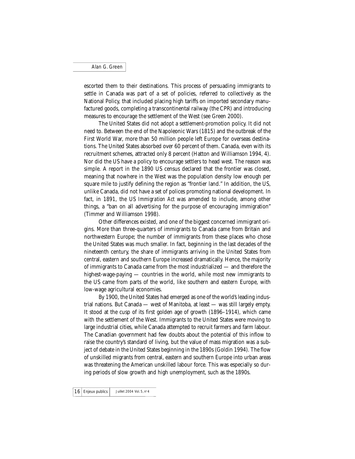escorted them to their destinations. This process of persuading immigrants to settle in Canada was part of a set of policies, referred to collectively as the National Policy, that included placing high tariffs on imported secondary manufactured goods, completing a transcontinental railway (the CPR) and introducing measures to encourage the settlement of the West (see Green 2000).

The United States did not adopt a settlement-promotion policy. It did not need to. Between the end of the Napoleonic Wars (1815) and the outbreak of the First World War, more than 50 million people left Europe for overseas destinations. The United States absorbed over 60 percent of them. Canada, even with its recruitment schemes, attracted only 8 percent (Hatton and Williamson 1994, 4). Nor did the US have a policy to encourage settlers to head west. The reason was simple. A report in the 1890 US census declared that the frontier was closed, meaning that nowhere in the West was the population density low enough per square mile to justify defining the region as "frontier land." In addition, the US, unlike Canada, did not have a set of polices promoting national development. In fact, in 1891, the US *Immigration Act* was amended to include, among other things, a "ban on all advertising for the purpose of encouraging immigration" (Timmer and Williamson 1998).

Other differences existed, and one of the biggest concerned immigrant origins. More than three-quarters of immigrants to Canada came from Britain and northwestern Europe; the number of immigrants from these places who chose the United States was much smaller. In fact, beginning in the last decades of the nineteenth century, the share of immigrants arriving in the United States from central, eastern and southern Europe increased dramatically. Hence, the majority of immigrants to Canada came from the most industrialized — and therefore the highest-wage-paying — countries in the world, while most new immigrants to the US came from parts of the world, like southern and eastern Europe, with low-wage agricultural economies.

By 1900, the United States had emerged as one of the world's leading industrial nations. But Canada — west of Manitoba, at least — was still largely empty. It stood at the cusp of its first golden age of growth (1896–1914), which came with the settlement of the West. Immigrants to the United States were moving to large industrial cities, while Canada attempted to recruit farmers and farm labour. The Canadian government had few doubts about the potential of this inflow to raise the country's standard of living, but the value of mass migration was a subject of debate in the United States beginning in the 1890s (Goldin 1994). The flow of unskilled migrants from central, eastern and southern Europe into urban areas was threatening the American unskilled labour force. This was especially so during periods of slow growth and high unemployment, such as the 1890s.

 $16$  Enjeux publics Juillet 2004 Vol. 5, n° 4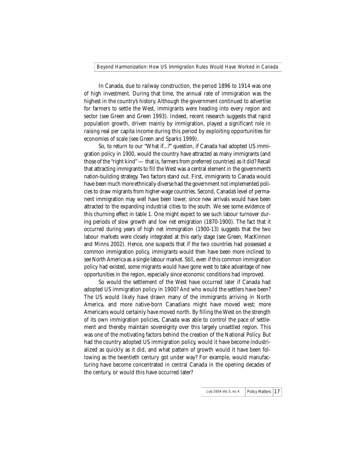In Canada, due to railway construction, the period 1896 to 1914 was one of high investment. During that time, the annual rate of immigration was the highest in the country's history. Although the government continued to advertise for farmers to settle the West, immigrants were heading into every region and sector (see Green and Green 1993). Indeed, recent research suggests that rapid population growth, driven mainly by immigration, played a significant role in raising real per capita income during this period by exploiting opportunities for economies of scale (see Green and Sparks 1999).

So, to return to our "What if...?" question, if Canada had adopted US immigration policy in 1900, would the country have attracted as many immigrants (and those of the "right kind" — that is, farmers from preferred countries) as it did? Recall that attracting immigrants to fill the West was a central element in the government's nation-building strategy. Two factors stand out. First, immigrants to Canada would have been much more ethnically diverse had the government not implemented policies to draw migrants from higher-wage countries. Second, Canada's level of permanent immigration may well have been lower, since new arrivals would have been attracted to the expanding industrial cities to the south. We see some evidence of this churning effect in table 1. One might expect to see such labour turnover during periods of slow growth and low net emigration (1870-1900). The fact that it occurred during years of high net immigration (1900-13) suggests that the two labour markets were closely integrated at this early stage (see Green, MacKinnon and Minns 2002). Hence, one suspects that if the two countries had possessed a common immigration policy, immigrants would then have been more inclined to see North America as a single labour market. Still, even if this common immigration policy had existed, some migrants would have gone west to take advantage of new opportunities in the region, especially since economic conditions had improved.

So would the settlement of the West have occurred later if Canada had adopted US immigration policy in 1900? And who would the settlers have been? The US would likely have drawn many of the immigrants arriving in North America, and more native-born Canadians might have moved west; more Americans would certainly have moved north. By filling the West on the strength of its own immigration policies, Canada was able to control the pace of settlement and thereby maintain sovereignty over this largely unsettled region. This was one of the motivating factors behind the creation of the National Policy. But had the country adopted US immigration policy, would it have become industrialized as quickly as it did, and what pattern of growth would it have been following as the twentieth century got under way? For example, would manufacturing have become concentrated in central Canada in the opening decades of the century, or would this have occurred later?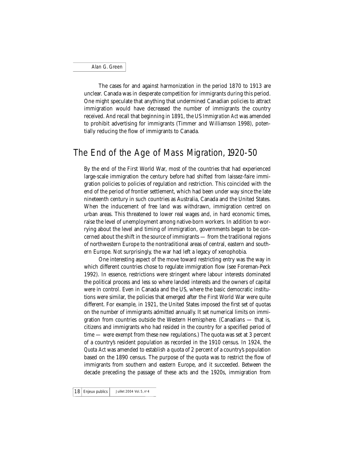The cases for and against harmonization in the period 1870 to 1913 are unclear. Canada was in desperate competition for immigrants during this period. One might speculate that anything that undermined Canadian policies to attract immigration would have decreased the number of immigrants the country received. And recall that beginning in 1891, the US *Immigration Act* was amended to prohibit advertising for immigrants (Timmer and Williamson 1998), potentially reducing the flow of immigrants to Canada.

### The End of the Age of Mass Migration, 1920-50

By the end of the First World War, most of the countries that had experienced large-scale immigration the century before had shifted from laissez-faire immigration policies to policies of regulation and restriction. This coincided with the end of the period of frontier settlement, which had been under way since the late nineteenth century in such countries as Australia, Canada and the United States. When the inducement of free land was withdrawn, immigration centred on urban areas. This threatened to lower real wages and, in hard economic times, raise the level of unemployment among native-born workers. In addition to worrying about the level and timing of immigration, governments began to be concerned about the shift in the source of immigrants — from the traditional regions of northwestern Europe to the nontraditional areas of central, eastern and southern Europe. Not surprisingly, the war had left a legacy of xenophobia.

One interesting aspect of the move toward restricting entry was the way in which different countries chose to regulate immigration flow (see Foreman-Peck 1992). In essence, restrictions were stringent where labour interests dominated the political process and less so where landed interests and the owners of capital were in control. Even in Canada and the US, where the basic democratic institutions were similar, the policies that emerged after the First World War were quite different. For example, in 1921, the United States imposed the first set of quotas on the number of immigrants admitted annually. It set numerical limits on immigration from countries outside the Western Hemisphere. (Canadians — that is, citizens and immigrants who had resided in the country for a specified period of time — were exempt from these new regulations.) The quota was set at 3 percent of a country's resident population as recorded in the 1910 census. In 1924, the *Quota Act* was amended to establish a quota of 2 percent of a country's population based on the 1890 census. The purpose of the quota was to restrict the flow of immigrants from southern and eastern Europe, and it succeeded. Between the decade preceding the passage of these acts and the 1920s, immigration from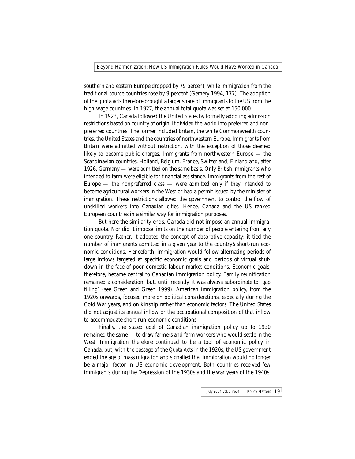southern and eastern Europe dropped by 79 percent, while immigration from the traditional source countries rose by 9 percent (Gemery 1994, 177). The adoption of the quota acts therefore brought a larger share of immigrants to the US from the high-wage countries. In 1927, the annual total quota was set at 150,000.

In 1923, Canada followed the United States by formally adopting admission restrictions based on country of origin. It divided the world into preferred and nonpreferred countries. The former included Britain, the white Commonwealth countries, the United States and the countries of northwestern Europe. Immigrants from Britain were admitted without restriction, with the exception of those deemed likely to become public charges. Immigrants from northwestern Europe — the Scandinavian countries, Holland, Belgium, France, Switzerland, Finland and, after 1926, Germany — were admitted on the same basis. Only British immigrants who intended to farm were eligible for financial assistance. Immigrants from the rest of Europe  $-$  the nonpreferred class  $-$  were admitted only if they intended to become agricultural workers in the West or had a permit issued by the minister of immigration. These restrictions allowed the government to control the flow of unskilled workers into Canadian cities. Hence, Canada and the US ranked European countries in a similar way for immigration purposes.

But here the similarity ends. Canada did not impose an annual immigration quota. Nor did it impose limits on the number of people entering from any one country. Rather, it adopted the concept of absorptive capacity: it tied the number of immigrants admitted in a given year to the country's short-run economic conditions. Henceforth, immigration would follow alternating periods of large inflows targeted at specific economic goals and periods of virtual shutdown in the face of poor domestic labour market conditions. Economic goals, therefore, became central to Canadian immigration policy. Family reunification remained a consideration, but, until recently, it was always subordinate to "gap filling" (see Green and Green 1999). American immigration policy, from the 1920s onwards, focused more on political considerations, especially during the Cold War years, and on kinship rather than economic factors. The United States did not adjust its annual inflow or the occupational composition of that inflow to accommodate short-run economic conditions.

Finally, the stated goal of Canadian immigration policy up to 1930 remained the same — to draw farmers and farm workers who would settle in the West. Immigration therefore continued to be a tool of economic policy in Canada, but, with the passage of the *Quota Acts* in the 1920s, the US government ended the age of mass migration and signalled that immigration would no longer be a major factor in US economic development. Both countries received few immigrants during the Depression of the 1930s and the war years of the 1940s.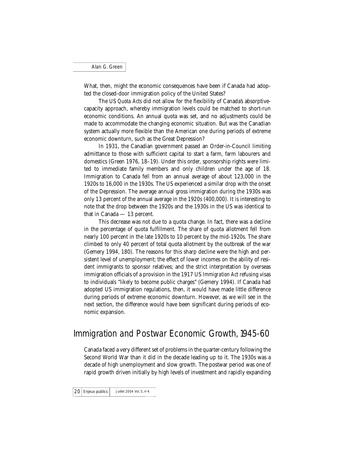What, then, might the economic consequences have been if Canada had adopted the closed-door immigration policy of the United States?

The US *Quota Acts* did not allow for the flexibility of Canada's absorptivecapacity approach, whereby immigration levels could be matched to short-run economic conditions. An annual quota was set, and no adjustments could be made to accommodate the changing economic situation. But was the Canadian system actually more flexible than the American one during periods of extreme economic downturn, such as the Great Depression?

In 1931, the Canadian government passed an Order-in-Council limiting admittance to those with sufficient capital to start a farm, farm labourers and domestics (Green 1976, 18–19). Under this order, sponsorship rights were limited to immediate family members and only children under the age of 18. Immigration to Canada fell from an annual average of about 123,000 in the 1920s to 16,000 in the 1930s. The US experienced a similar drop with the onset of the Depression. The average annual gross immigration during the 1930s was only 13 percent of the annual average in the 1920s (400,000). It is interesting to note that the drop between the 1920s and the 1930s in the US was identical to that in Canada — 13 percent.

This decrease was not due to a quota change. In fact, there was a decline in the percentage of quota fulfillment. The share of quota allotment fell from nearly 100 percent in the late 1920s to 10 percent by the mid-1920s. The share climbed to only 40 percent of total quota allotment by the outbreak of the war (Gemery 1994, 180). The reasons for this sharp decline were the high and persistent level of unemployment; the effect of lower incomes on the ability of resident immigrants to sponsor relatives; and the strict interpretation by overseas immigration officials of a provision in the 1917 US *Immigration Act* refusing visas to individuals "likely to become public charges" (Gemery 1994). If Canada had adopted US immigration regulations, then, it would have made little difference during periods of extreme economic downturn. However, as we will see in the next section, the difference would have been significant during periods of economic expansion.

### Immigration and Postwar Economic Growth, 1945-60

Canada faced a very different set of problems in the quarter-century following the Second World War than it did in the decade leading up to it. The 1930s was a decade of high unemployment and slow growth. The postwar period was one of rapid growth driven initially by high levels of investment and rapidly expanding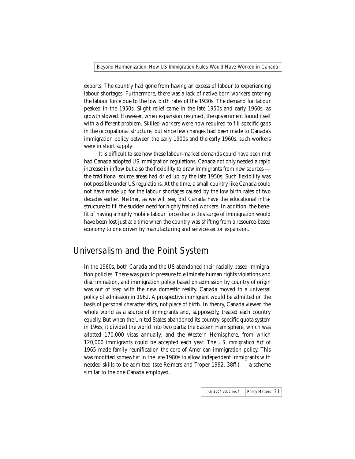exports. The country had gone from having an excess of labour to experiencing labour shortages. Furthermore, there was a lack of native-born workers entering the labour force due to the low birth rates of the 1930s. The demand for labour peaked in the 1950s. Slight relief came in the late 1950s and early 1960s, as growth slowed. However, when expansion resumed, the government found itself with a different problem. Skilled workers were now required to fill specific gaps in the occupational structure, but since few changes had been made to Canada's immigration policy between the early 1900s and the early 1960s, such workers were in short supply.

It is difficult to see how these labour-market demands could have been met had Canada adopted US immigration regulations. Canada not only needed a rapid increase in inflow but also the flexibility to draw immigrants from new sources the traditional source areas had dried up by the late 1950s. Such flexibility was not possible under US regulations. At the time, a small country like Canada could not have made up for the labour shortages caused by the low birth rates of two decades earlier. Neither, as we will see, did Canada have the educational infrastructure to fill the sudden need for highly trained workers. In addition, the benefit of having a highly mobile labour force due to this surge of immigration would have been lost just at a time when the country was shifting from a resource-based economy to one driven by manufacturing and service-sector expansion.

## Universalism and the Point System

In the 1960s, both Canada and the US abandoned their racially based immigration policies. There was public pressure to eliminate human rights violations and discrimination, and immigration policy based on admission by country of origin was out of step with the new domestic reality. Canada moved to a universal policy of admission in 1962. A prospective immigrant would be admitted on the basis of personal characteristics, not place of birth. In theory, Canada viewed the whole world as a source of immigrants and, supposedly, treated each country equally. But when the United States abandoned its country-specific quota system in 1965, it divided the world into two parts: the Eastern Hemisphere, which was allotted 170,000 visas annually; and the Western Hemisphere, from which 120,000 immigrants could be accepted each year. The *US Immigration Act* of 1965 made family reunification the core of American immigration policy. This was modified somewhat in the late 1980s to allow independent immigrants with needed skills to be admitted (see Reimers and Troper 1992, 38ff.) — a scheme similar to the one Canada employed.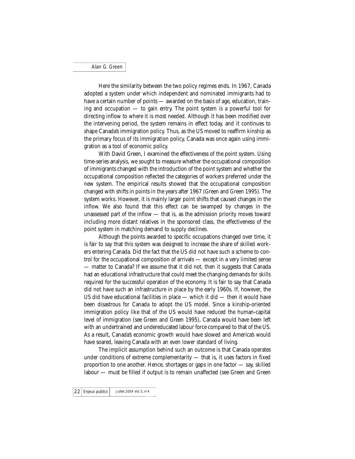Here the similarity between the two policy regimes ends. In 1967, Canada adopted a system under which independent and nominated immigrants had to have a certain number of points — awarded on the basis of age, education, training and occupation — to gain entry. The point system is a powerful tool for directing inflow to where it is most needed. Although it has been modified over the intervening period, the system remains in effect today, and it continues to shape Canada's immigration policy. Thus, as the US moved to reaffirm kinship as the primary focus of its immigration policy, Canada was once again using immigration as a tool of economic policy.

With David Green, I examined the effectiveness of the point system. Using time-series analysis, we sought to measure whether the occupational composition of immigrants changed with the introduction of the point system and whether the occupational composition reflected the categories of workers preferred under the new system. The empirical results showed that the occupational composition changed with shifts in points in the years after 1967 (Green and Green 1995). The system works. However, it is mainly larger point shifts that caused changes in the inflow. We also found that this effect can be swamped by changes in the unassessed part of the inflow — that is, as the admission priority moves toward including more distant relatives in the sponsored class, the effectiveness of the point system in matching demand to supply declines.

Although the points awarded to specific occupations changed over time, it is fair to say that this system was designed to increase the share of skilled workers entering Canada. Did the fact that the US did not have such a scheme to control for the occupational composition of arrivals — except in a very limited sense — matter to Canada? If we assume that it did not, then it suggests that Canada had an educational infrastructure that could meet the changing demands for skills required for the successful operation of the economy. It is fair to say that Canada did not have such an infrastructure in place by the early 1960s. If, however, the US did have educational facilities in place — which it did — then it would have been disastrous for Canada to adopt the US model. Since a kinship-oriented immigration policy like that of the US would have reduced the human-capital level of immigration (see Green and Green 1995), Canada would have been left with an undertrained and undereducated labour force compared to that of the US. As a result, Canada's economic growth would have slowed and America's would have soared, leaving Canada with an even lower standard of living.

The implicit assumption behind such an outcome is that Canada operates under conditions of extreme complementarity — that is, it uses factors in fixed proportion to one another. Hence, shortages or gaps in one factor — say, skilled labour — must be filled if output is to remain unaffected (see Green and Green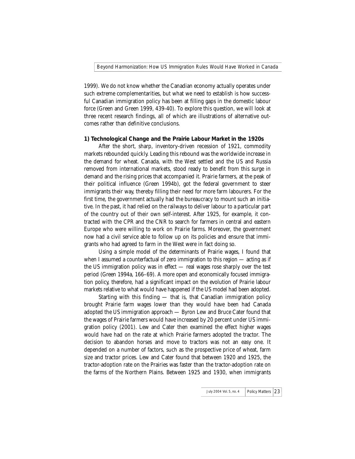1999). We do not know whether the Canadian economy actually operates under such extreme complementarities, but what we need to establish is how successful Canadian immigration policy has been at filling gaps in the domestic labour force (Green and Green 1999, 439-40). To explore this question, we will look at three recent research findings, all of which are illustrations of alternative outcomes rather than definitive conclusions.

#### **1) Technological Change and the Prairie Labour Market in the 1920s**

After the short, sharp, inventory-driven recession of 1921, commodity markets rebounded quickly. Leading this rebound was the worldwide increase in the demand for wheat. Canada, with the West settled and the US and Russia removed from international markets, stood ready to benefit from this surge in demand and the rising prices that accompanied it. Prairie farmers, at the peak of their political influence (Green 1994b), got the federal government to steer immigrants their way, thereby filling their need for more farm labourers. For the first time, the government actually had the bureaucracy to mount such an initiative. In the past, it had relied on the railways to deliver labour to a particular part of the country out of their own self-interest. After 1925, for example, it contracted with the CPR and the CNR to search for farmers in central and eastern Europe who were willing to work on Prairie farms. Moreover, the government now had a civil service able to follow up on its policies and ensure that immigrants who had agreed to farm in the West were in fact doing so.

Using a simple model of the determinants of Prairie wages, I found that when I assumed a counterfactual of zero immigration to this region — acting as if the US immigration policy was in effect — real wages rose sharply over the test period (Green 1994a, 166–69). A more open and economically focused immigration policy, therefore, had a significant impact on the evolution of Prairie labour markets relative to what would have happened if the US model had been adopted.

Starting with this finding — that is, that Canadian immigration policy brought Prairie farm wages lower than they would have been had Canada adopted the US immigration approach — Byron Lew and Bruce Cater found that the wages of Prairie farmers would have increased by 20 percent under US immigration policy (2001). Lew and Cater then examined the effect higher wages would have had on the rate at which Prairie farmers adopted the tractor. The decision to abandon horses and move to tractors was not an easy one. It depended on a number of factors, such as the prospective price of wheat, farm size and tractor prices. Lew and Cater found that between 1920 and 1925, the tractor-adoption rate on the Prairies was faster than the tractor-adoption rate on the farms of the Northern Plains. Between 1925 and 1930, when immigrants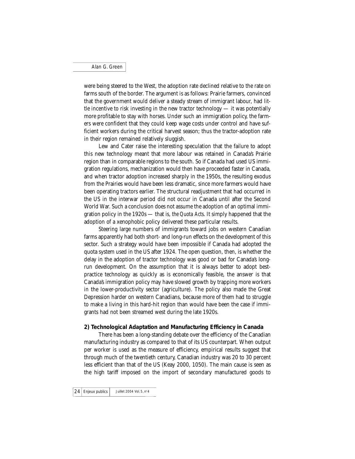were being steered to the West, the adoption rate declined relative to the rate on farms south of the border. The argument is as follows: Prairie farmers, convinced that the government would deliver a steady stream of immigrant labour, had little incentive to risk investing in the new tractor technology — it was potentially more profitable to stay with horses. Under such an immigration policy, the farmers were confident that they could keep wage costs under control and have sufficient workers during the critical harvest season; thus the tractor-adoption rate in their region remained relatively sluggish.

Lew and Cater raise the interesting speculation that the failure to adopt this new technology meant that more labour was retained in Canada's Prairie region than in comparable regions to the south. So if Canada had used US immigration regulations, mechanization would then have proceeded faster in Canada, and when tractor adoption increased sharply in the 1950s, the resulting exodus from the Prairies would have been less dramatic, since more farmers would have been operating tractors earlier. The structural readjustment that had occurred in the US in the interwar period did not occur in Canada until after the Second World War. Such a conclusion does not assume the adoption of an optimal immigration policy in the 1920s — that is, *the Quota Acts*. It simply happened that the adoption of a xenophobic policy delivered these particular results.

Steering large numbers of immigrants toward jobs on western Canadian farms apparently had both short- and long-run effects on the development of this sector. Such a strategy would have been impossible if Canada had adopted the quota system used in the US after 1924. The open question, then, is whether the delay in the adoption of tractor technology was good or bad for Canada's longrun development. On the assumption that it is always better to adopt bestpractice technology as quickly as is economically feasible, the answer is that Canada's immigration policy may have slowed growth by trapping more workers in the lower-productivity sector (agriculture). The policy also made the Great Depression harder on western Canadians, because more of them had to struggle to make a living in this hard-hit region than would have been the case if immigrants had not been streamed west during the late 1920s.

#### **2) Technological Adaptation and Manufacturing Efficiency in Canada**

There has been a long-standing debate over the efficiency of the Canadian manufacturing industry as compared to that of its US counterpart. When output per worker is used as the measure of efficiency, empirical results suggest that through much of the twentieth century, Canadian industry was 20 to 30 percent less efficient than that of the US (Keay 2000, 1050). The main cause is seen as the high tariff imposed on the import of secondary manufactured goods to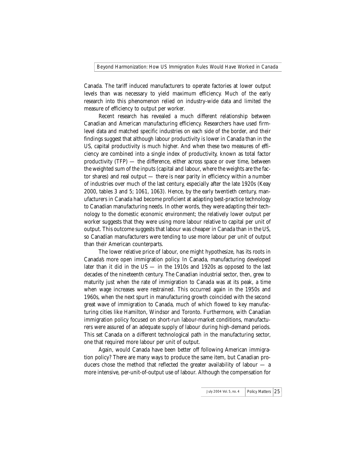Canada. The tariff induced manufacturers to operate factories at lower output levels than was necessary to yield maximum efficiency. Much of the early research into this phenomenon relied on industry-wide data and limited the measure of efficiency to output per worker.

Recent research has revealed a much different relationship between Canadian and American manufacturing efficiency. Researchers have used firmlevel data and matched specific industries on each side of the border, and their findings suggest that although labour productivity is lower in Canada than in the US, capital productivity is much higher. And when these two measures of efficiency are combined into a single index of productivity, known as total factor productivity (TFP) — the difference, either across space or over time, between the weighted sum of the inputs (capital and labour, where the weights are the factor shares) and real output — there is near parity in efficiency within a number of industries over much of the last century, especially after the late 1920s (Keay 2000, tables 3 and 5; 1061, 1063). Hence, by the early twentieth century, manufacturers in Canada had become proficient at adapting best-practice technology to Canadian manufacturing needs. In other words, they were adapting their technology to the domestic economic environment; the relatively lower output per worker suggests that they were using more labour relative to capital per unit of output. This outcome suggests that labour was cheaper in Canada than in the US, so Canadian manufacturers were tending to use more labour per unit of output than their American counterparts.

The lower relative price of labour, one might hypothesize, has its roots in Canada's more open immigration policy. In Canada, manufacturing developed later than it did in the US — in the 1910s and 1920s as opposed to the last decades of the nineteenth century. The Canadian industrial sector, then, grew to maturity just when the rate of immigration to Canada was at its peak, a time when wage increases were restrained. This occurred again in the 1950s and 1960s, when the next spurt in manufacturing growth coincided with the second great wave of immigration to Canada, much of which flowed to key manufacturing cities like Hamilton, Windsor and Toronto. Furthermore, with Canadian immigration policy focused on short-run labour-market conditions, manufacturers were assured of an adequate supply of labour during high-demand periods. This set Canada on a different technological path in the manufacturing sector, one that required more labour per unit of output.

Again, would Canada have been better off following American immigration policy? There are many ways to produce the same item, but Canadian producers chose the method that reflected the greater availability of labour — a more intensive, per-unit-of-output use of labour. Although the compensation for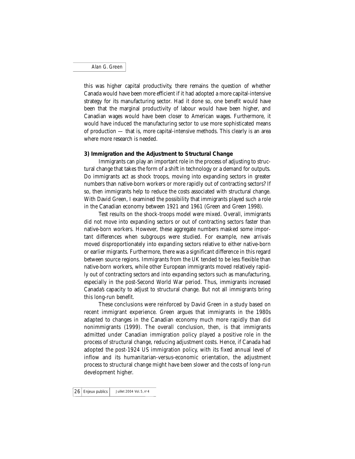this was higher capital productivity, there remains the question of whether Canada would have been more efficient if it had adopted a more capital-intensive strategy for its manufacturing sector. Had it done so, one benefit would have been that the marginal productivity of labour would have been higher, and Canadian wages would have been closer to American wages. Furthermore, it would have induced the manufacturing sector to use more sophisticated means of production — that is, more capital-intensive methods. This clearly is an area where more research is needed.

#### **3) Immigration and the Adjustment to Structural Change**

Immigrants can play an important role in the process of adjusting to structural change that takes the form of a shift in technology or a demand for outputs. Do immigrants act as shock troops, moving into expanding sectors in greater numbers than native-born workers or more rapidly out of contracting sectors? If so, then immigrants help to reduce the costs associated with structural change. With David Green, I examined the possibility that immigrants played such a role in the Canadian economy between 1921 and 1961 (Green and Green 1998).

Test results on the shock-troops model were mixed. Overall, immigrants did not move into expanding sectors or out of contracting sectors faster than native-born workers. However, these aggregate numbers masked some important differences when subgroups were studied. For example, new arrivals moved disproportionately into expanding sectors relative to either native-born or earlier migrants. Furthermore, there was a significant difference in this regard between source regions. Immigrants from the UK tended to be less flexible than native-born workers, while other European immigrants moved relatively rapidly out of contracting sectors and into expanding sectors such as manufacturing, especially in the post-Second World War period. Thus, immigrants increased Canada's capacity to adjust to structural change. But not all immigrants bring this long-run benefit.

These conclusions were reinforced by David Green in a study based on recent immigrant experience. Green argues that immigrants in the 1980s adapted to changes in the Canadian economy much more rapidly than did nonimmigrants (1999). The overall conclusion, then, is that immigrants admitted under Canadian immigration policy played a positive role in the process of structural change, reducing adjustment costs. Hence, if Canada had adopted the post-1924 US immigration policy, with its fixed annual level of inflow and its humanitarian-versus-economic orientation, the adjustment process to structural change might have been slower and the costs of long-run development higher.

 $26$  Enjeux publics  $\vert$  Juillet 2004 Vol. 5, n° 4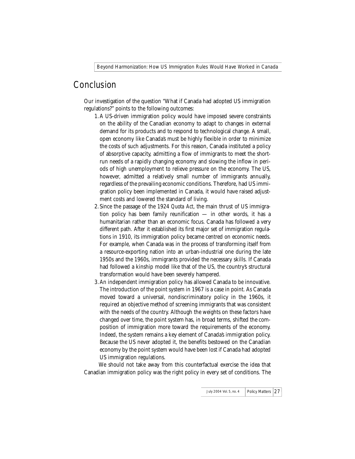## Conclusion

Our investigation of the question "What if Canada had adopted US immigration regulations?" points to the following outcomes:

- 1.A US-driven immigration policy would have imposed severe constraints on the ability of the Canadian economy to adapt to changes in external demand for its products and to respond to technological change. A small, open economy like Canada's must be highly flexible in order to minimize the costs of such adjustments. For this reason, Canada instituted a policy of absorptive capacity, admitting a flow of immigrants to meet the shortrun needs of a rapidly changing economy and slowing the inflow in periods of high unemployment to relieve pressure on the economy. The US, however, admitted a relatively small number of immigrants annually, regardless of the prevailing economic conditions. Therefore, had US immigration policy been implemented in Canada, it would have raised adjustment costs and lowered the standard of living.
- 2.Since the passage of the 1924 *Quota Act*, the main thrust of US immigration policy has been family reunification — in other words, it has a humanitarian rather than an economic focus. Canada has followed a very different path. After it established its first major set of immigration regulations in 1910, its immigration policy became centred on economic needs. For example, when Canada was in the process of transforming itself from a resource-exporting nation into an urban-industrial one during the late 1950s and the 1960s, immigrants provided the necessary skills. If Canada had followed a kinship model like that of the US, the country's structural transformation would have been severely hampered.
- 3.An independent immigration policy has allowed Canada to be innovative. The introduction of the point system in 1967 is a case in point. As Canada moved toward a universal, nondiscriminatory policy in the 1960s, it required an objective method of screening immigrants that was consistent with the needs of the country. Although the weights on these factors have changed over time, the point system has, in broad terms, shifted the composition of immigration more toward the requirements of the economy. Indeed, the system remains a key element of Canada's immigration policy. Because the US never adopted it, the benefits bestowed on the Canadian economy by the point system would have been lost if Canada had adopted US immigration regulations.

We should not take away from this counterfactual exercise the idea that Canadian immigration policy was the right policy in every set of conditions. The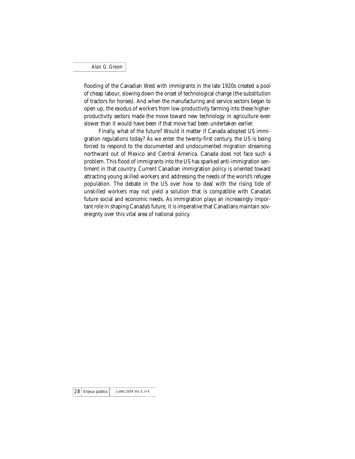flooding of the Canadian West with immigrants in the late 1920s created a pool of cheap labour, slowing down the onset of technological change (the substitution of tractors for horses). And when the manufacturing and service sectors began to open up, the exodus of workers from low-productivity farming into these higherproductivity sectors made the move toward new technology in agriculture even slower than it would have been if that move had been undertaken earlier.

Finally, what of the future? Would it matter if Canada adopted US immigration regulations today? As we enter the twenty-first century, the US is being forced to respond to the documented and undocumented migration streaming northward out of Mexico and Central America. Canada does not face such a problem. This flood of immigrants into the US has sparked anti-immigration sentiment in that country. Current Canadian immigration policy is oriented toward attracting young skilled workers and addressing the needs of the world's refugee population. The debate in the US over how to deal with the rising tide of unskilled workers may not yield a solution that is compatible with Canada's future social and economic needs. As immigration plays an increasingly important role in shaping Canada's future, it is imperative that Canadians maintain sovereignty over this vital area of national policy.

 $28$  Enjeux publics  $\vert$  Juillet 2004 Vol. 5, n° 4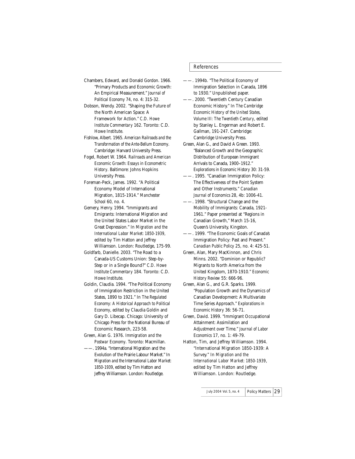Chambers, Edward, and Donald Gordon. 1966. "Primary Products and Economic Growth: An Empirical Measurement." *Journal of Political Economy* 74, no. 4: 315-32.

Dobson, Wendy. 2002. "Shaping the Future of the North American Space: A Framework for Action." *C.D. Howe Institute Commentary* 162. Toronto: C.D. Howe Institute.

Fishlow, Albert. 1965. *American Railroads and the Transformation of the Ante-Bellum Economy*. Cambridge: Harvard University Press.

Fogel, Robert W. 1964. *Railroads and American Economic Growth: Essays in Econometric History*. Baltimore: Johns Hopkins University Press.

Foreman-Peck, James. 1992. "A Political Economy Model of International Migration, 1815-1914." *Manchester School* 60, no. 4.

Gemery, Henry. 1994. "Immigrants and Emigrants: International Migration and the United States Labor Market in the Great Depression." In *Migration and the International Labor Market: 1850-1939*, edited by Tim Hatton and Jeffrey Williamson. London: Routledge, 175-99.

Goldfarb, Danielle. 2003. "The Road to a Canada-US Customs Union: Step-by-Step or in a Single Bound?" *C.D. Howe Institute Commentary* 184. Toronto: C.D. Howe Institute.

Goldin, Claudia. 1994. "The Political Economy of Immigration Restriction in the United States, 1890 to 1921." In *The Regulated Economy: A Historical Approach to Political Economy*, edited by Claudia Goldin and Gary D. Libecap. Chicago: University of Chicago Press for the National Bureau of Economic Research, 223-58.

Green, Alan G. 1976. *Immigration and the Postwar Economy*. Toronto: Macmillan.

——. 1994a. "International Migration and the Evolution of the Prairie Labour Market." In *Migration and the International Labor Market: 1850-1939*, edited by Tim Hatton and Jeffrey Williamson. London: Routledge.

#### References

——. 1994b. "The Political Economy of Immigration Selection in Canada, 1896 to 1930." Unpublished paper.

——. 2000. "Twentieth Century Canadian Economic History." In *The Cambridge Economic History of the United States, Volume III: The Twentieth Century*, edited by Stanley L. Engerman and Robert E. Gallman, 191-247. Cambridge: Cambridge University Press.

Green, Alan G., and David A Green. 1993. "Balanced Growth and the Geographic Distribution of European Immigrant Arrivals to Canada, 1900–1912." *Explorations in Economic History* 30: 31-59.

——. 1995. "Canadian Immigration Policy: The Effectiveness of the Point System and Other Instruments." *Canadian Journal of Economics* 28, 4b: 1006-41.

. 1998. "Structural Change and the Mobility of Immigrants: Canada, 1921- 1961." Paper presented at "Regions in Canadian Growth," March 15-16, Queen's University, Kingston.

——. 1999. "The Economic Goals of Canada's Immigration Policy: Past and Present." *Canadian Public Policy* 25, no. 4: 425-51.

Green, Alan, Mary MacKinnon, and Chris Minns. 2002. "Dominion or Republic? Migrants to North America from the United Kingdom, 1870-1910." *Economic History Review* 55: 666-96.

Green, Alan G., and G.R. Sparks. 1999. "Population Growth and the Dynamics of Canadian Development: A Multivariate Time Series Approach." *Explorations in Economic History* 36: 56-71.

Green, David. 1999. "Immigrant Occupational Attainment: Assimilation and Adjustment over Time." *Journal of Labor Economics* 17, no. 1: 49-79.

Hatton, Tim, and Jeffrey Williamson. 1994. "International Migration 1850-1939: A Survey." In *Migration and the International Labor Market: 1850-1939*, edited by Tim Hatton and Jeffrey Williamson. London: Routledge.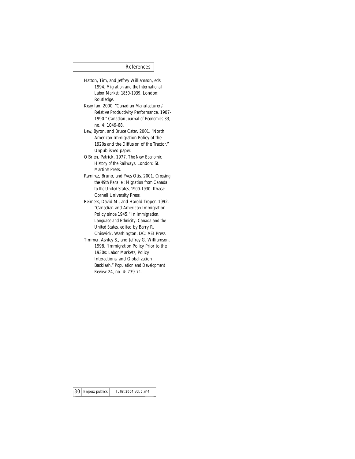#### References

- Hatton, Tim, and Jeffrey Williamson, eds. 1994. *Migration and the International Labor Market: 1850-1939*. London: Routledge.
- Keay Ian. 2000. "Canadian Manufacturers' Relative Productivity Performance, 1907- 1990." *Canadian Journal of Economics* 33, no. 4: 1049-68.

Lew, Byron, and Bruce Cater. 2001. "North American Immigration Policy of the 1920s and the Diffusion of the Tractor." Unpublished paper.

- O'Brien, Patrick. 1977. *The New Economic History of the Railways*. London: St. Martin's Press.
- Ramirez, Bruno, and Yves Otis. 2001. *Crossing the 49th Parallel: Migration from Canada to the United States, 1900-1930*. Ithaca: Cornell University Press.
- Reimers, David M., and Harold Troper. 1992. "Canadian and American Immigration Policy since 1945." In *Immigration, Language and Ethnicity: Canada and the United States*, edited by Barry R. Chiswick, Washington, DC: AEI Press.
- Timmer, Ashley S., and Jeffrey G. Williamson. 1998. "Immigration Policy Prior to the 1930s: Labor Markets, Policy Interactions, and Globalization Backlash." *Population and Development Review* 24, no. 4: 739-71.

 $30$  Enjeux publics Juillet 2004 Vol. 5, n° 4